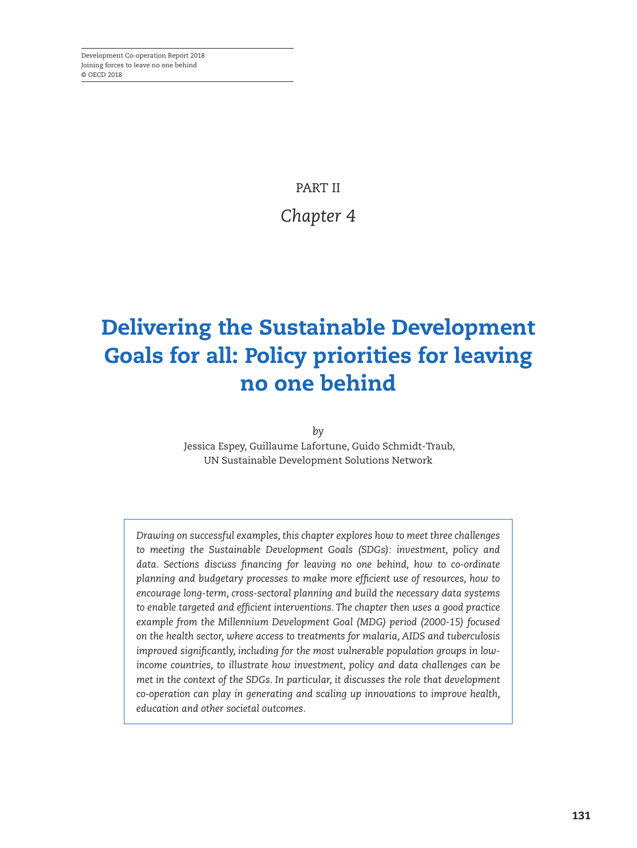PART II *Chapter 4*

## Delivering the Sustainable Development Goals for all: Policy priorities for leaving no one behind

*by*

 Jessica Espey, Guillaume Lafortune, Guido Schmidt-Traub, UN Sustainable Development Solutions Network

*Drawing on successful examples, this chapter explores how to meet three challenges to meeting the Sustainable Development Goals (SDGs): investment, policy and data. Sections discuss financing for leaving no one behind, how to co-ordinate planning and budgetary processes to make more efficient use of resources, how to encourage long-term, cross-sectoral planning and build the necessary data systems to enable targeted and efficient interventions. The chapter then uses a good practice example from the Millennium Development Goal (MDG) period (2000-15) focused on the health sector, where access to treatments for malaria, AIDS and tuberculosis improved significantly, including for the most vulnerable population groups in lowincome countries, to illustrate how investment, policy and data challenges can be met in the context of the SDGs. In particular, it discusses the role that development co-operation can play in generating and scaling up innovations to improve health, education and other societal outcomes.*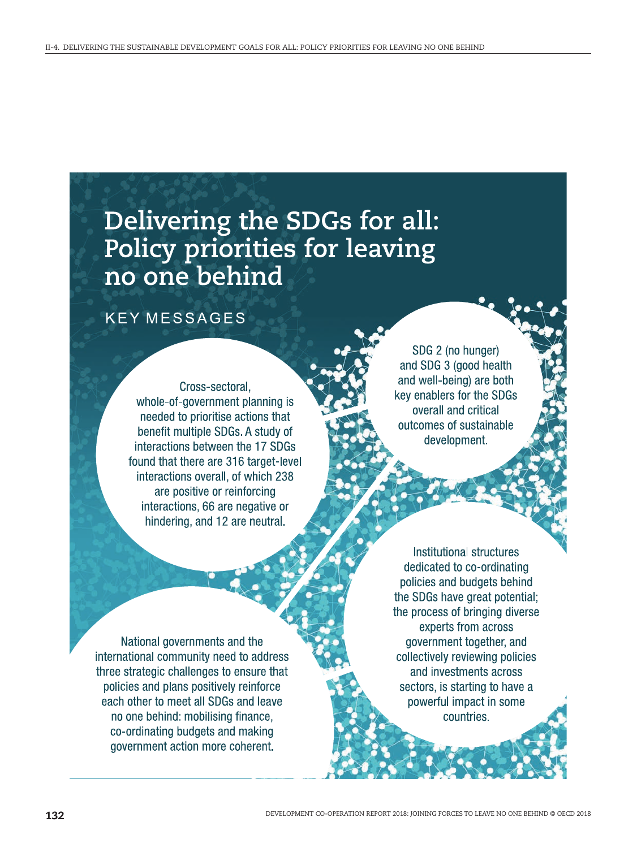# Delivering the SDGs for all:<br>Policy priorities for leaving<br>no one behind

### **KEY MESSAGES**

Cross-sectoral. whole-of-government planning is needed to prioritise actions that benefit multiple SDGs. A study of interactions between the 17 SDGs found that there are 316 target-level interactions overall, of which 238 are positive or reinforcing interactions, 66 are negative or hindering, and 12 are neutral.

SDG 2 (no hunger) and SDG 3 (good health and well-being) are both key enablers for the SDGs overall and critical outcomes of sustainable development.

National governments and the international community need to address three strategic challenges to ensure that policies and plans positively reinforce each other to meet all SDGs and leave no one behind: mobilising finance, co-ordinating budgets and making government action more coherent.

Institutional structures dedicated to co-ordinating policies and budgets behind the SDGs have great potential; the process of bringing diverse experts from across government together, and collectively reviewing policies and investments across sectors, is starting to have a powerful impact in some countries.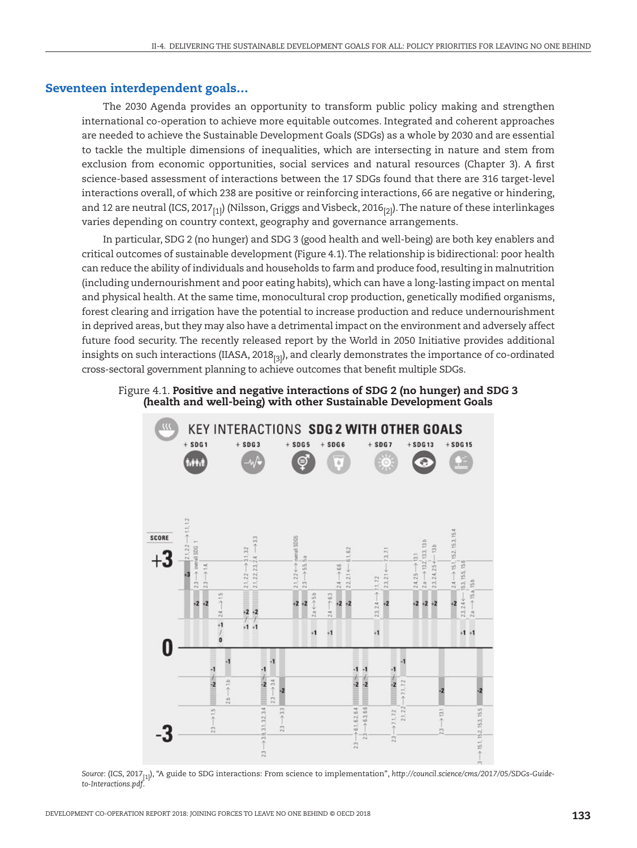#### Seventeen interdependent goals…

The 2030 Agenda provides an opportunity to transform public policy making and strengthen international co-operation to achieve more equitable outcomes. Integrated and coherent approaches are needed to achieve the Sustainable Development Goals (SDGs) as a whole by 2030 and are essential to tackle the multiple dimensions of inequalities, which are intersecting in nature and stem from exclusion from economic opportunities, social services and natural resources (Chapter 3). A first science-based assessment of interactions between the 17 SDGs found that there are 316 target-level interactions overall, of which 238 are positive or reinforcing interactions, 66 are negative or hindering, and 12 are neutral (ICS, 2017 $_{[1]}$ ) (Nilsson, Griggs and Visbeck, 2016 $_{[2]}$ ). The nature of these interlinkages varies depending on country context, geography and governance arrangements.

In particular, SDG 2 (no hunger) and SDG 3 (good health and well-being) are both key enablers and critical outcomes of sustainable development [\(Figure 4.1](#page-2-0)). The relationship is bidirectional: poor health can reduce the ability of individuals and households to farm and produce food, resulting in malnutrition (including undernourishment and poor eating habits), which can have a long-lasting impact on mental and physical health. At the same time, monocultural crop production, genetically modified organisms, forest clearing and irrigation have the potential to increase production and reduce undernourishment in deprived areas, but they may also have a detrimental impact on the environment and adversely affect future food security. The recently released report by the World in 2050 Initiative provides additional insights on such interactions (IIASA, 2018<sub>[3]</sub>), and clearly demonstrates the importance of co-ordinated cross-sectoral government planning to achieve outcomes that benefit multiple SDGs.

#### Figure 4.1. Positive and negative interactions of SDG 2 (no hunger) and SDG 3 (health and well-being) with other Sustainable Development Goals

<span id="page-2-0"></span>

*Source*: (ICS, 2017[1]), "A guide to SDG interactions: From science to implementation", *[http://council.science/cms/2017/05/SDGs-Guide](http://council.science/cms/2017/05/SDGs-Guide-to-Interactions.pdf)[to-Interactions.pdf](http://council.science/cms/2017/05/SDGs-Guide-to-Interactions.pdf)*.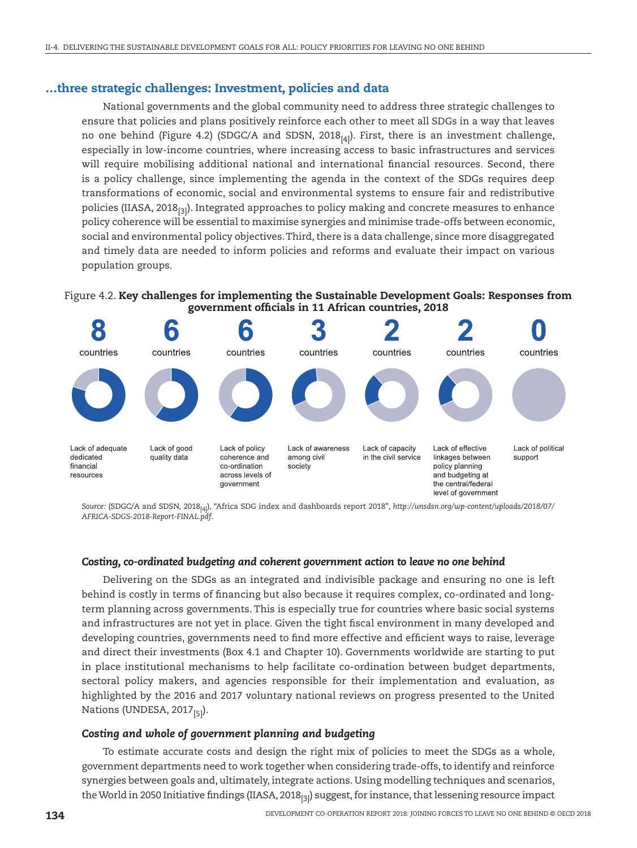#### …three strategic challenges: Investment, policies and data

National governments and the global community need to address three strategic challenges to ensure that policies and plans positively reinforce each other to meet all SDGs in a way that leaves no one behind (Figure 4.2) (SDGC/A and SDSN, 2018<sub>[4]</sub>). First, there is an investment challenge, especially in low-income countries, where increasing access to basic infrastructures and services will require mobilising additional national and international financial resources. Second, there is a policy challenge, since implementing the agenda in the context of the SDGs requires deep transformations of economic, social and environmental systems to ensure fair and redistributive policies (IIASA, 2018 $_{[3]}$ ). Integrated approaches to policy making and concrete measures to enhance policy coherence will be essential to maximise synergies and minimise trade-offs between economic, social and environmental policy objectives. Third, there is a data challenge, since more disaggregated and timely data are needed to inform policies and reforms and evaluate their impact on various population groups.

#### <span id="page-3-0"></span>Figure 4.2. Key challenges for implementing the Sustainable Development Goals: Responses from government officials in 11 African countries, 2018



*Source:* (SDGC/A and SDSN, 2018[4]), "Africa SDG index and dashboards report 2018", *[http://unsdsn.org/wp-content/uploads/2018/07/](http://unsdsn.org/wp-content/uploads/2018/07/AFRICA-SDGS-2018-Report-FINAL.pdf) [AFRICA-SDGS-2018-Report-FINAL.pdf](http://unsdsn.org/wp-content/uploads/2018/07/AFRICA-SDGS-2018-Report-FINAL.pdf)*.

#### *Costing, co-ordinated budgeting and coherent government action to leave no one behind*

Delivering on the SDGs as an integrated and indivisible package and ensuring no one is left behind is costly in terms of financing but also because it requires complex, co-ordinated and longterm planning across governments. This is especially true for countries where basic social systems and infrastructures are not yet in place. Given the tight fiscal environment in many developed and developing countries, governments need to find more effective and efficient ways to raise, leverage and direct their investments [\(Box 4.1](#page-4-0) and Chapter 10). Governments worldwide are starting to put in place institutional mechanisms to help facilitate co-ordination between budget departments, sectoral policy makers, and agencies responsible for their implementation and evaluation, as highlighted by the 2016 and 2017 voluntary national reviews on progress presented to the United Nations (UNDESA, 2017<sub>[5]</sub>).

#### *Costing and whole of government planning and budgeting*

To estimate accurate costs and design the right mix of policies to meet the SDGs as a whole, government departments need to work together when considering trade-offs, to identify and reinforce synergies between goals and, ultimately, integrate actions. Using modelling techniques and scenarios, the World in 2050 Initiative findings (IIASA, 2018 $_{[3]}$ ) suggest, for instance, that lessening resource impact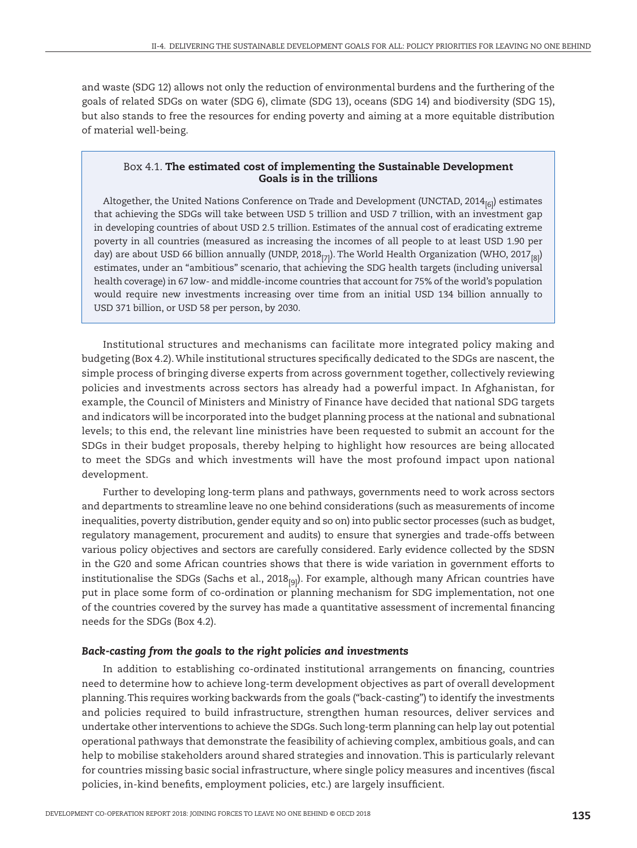and waste (SDG 12) allows not only the reduction of environmental burdens and the furthering of the goals of related SDGs on water (SDG 6), climate (SDG 13), oceans (SDG 14) and biodiversity (SDG 15), but also stands to free the resources for ending poverty and aiming at a more equitable distribution of material well-being.

#### <span id="page-4-0"></span>Box 4.1. The estimated cost of implementing the Sustainable Development Goals is in the trillions

Altogether, the United Nations Conference on Trade and Development (UNCTAD,  $2014_{[6]}$ ) estimates that achieving the SDGs will take between USD 5 trillion and USD 7 trillion, with an investment gap in developing countries of about USD 2.5 trillion. Estimates of the annual cost of eradicating extreme poverty in all countries (measured as increasing the incomes of all people to at least USD 1.90 per day) are about USD 66 billion annually (UNDP, 2018 $_{[7]}$ ). The World Health Organization (WHO, 2017 $_{[8]}$ ) estimates, under an "ambitious" scenario, that achieving the SDG health targets (including universal health coverage) in 67 low- and middle-income countries that account for 75% of the world's population would require new investments increasing over time from an initial USD 134 billion annually to USD 371 billion, or USD 58 per person, by 2030.

Institutional structures and mechanisms can facilitate more integrated policy making and budgeting [\(Box 4.2\)](#page-5-0). While institutional structures specifically dedicated to the SDGs are nascent, the simple process of bringing diverse experts from across government together, collectively reviewing policies and investments across sectors has already had a powerful impact. In Afghanistan, for example, the Council of Ministers and Ministry of Finance have decided that national SDG targets and indicators will be incorporated into the budget planning process at the national and subnational levels; to this end, the relevant line ministries have been requested to submit an account for the SDGs in their budget proposals, thereby helping to highlight how resources are being allocated to meet the SDGs and which investments will have the most profound impact upon national development.

Further to developing long-term plans and pathways, governments need to work across sectors and departments to streamline leave no one behind considerations (such as measurements of income inequalities, poverty distribution, gender equity and so on) into public sector processes (such as budget, regulatory management, procurement and audits) to ensure that synergies and trade-offs between various policy objectives and sectors are carefully considered. Early evidence collected by the SDSN in the G20 and some African countries shows that there is wide variation in government efforts to institutionalise the SDGs (Sachs et al.,  $2018_{[9]}$ ). For example, although many African countries have put in place some form of co-ordination or planning mechanism for SDG implementation, not one of the countries covered by the survey has made a quantitative assessment of incremental financing needs for the SDGs [\(Box 4.2\).](#page-5-0)

#### *Back-casting from the goals to the right policies and investments*

In addition to establishing co-ordinated institutional arrangements on financing, countries need to determine how to achieve long-term development objectives as part of overall development planning. This requires working backwards from the goals ("back-casting") to identify the investments and policies required to build infrastructure, strengthen human resources, deliver services and undertake other interventions to achieve the SDGs. Such long-term planning can help lay out potential operational pathways that demonstrate the feasibility of achieving complex, ambitious goals, and can help to mobilise stakeholders around shared strategies and innovation. This is particularly relevant for countries missing basic social infrastructure, where single policy measures and incentives (fiscal policies, in-kind benefits, employment policies, etc.) are largely insufficient.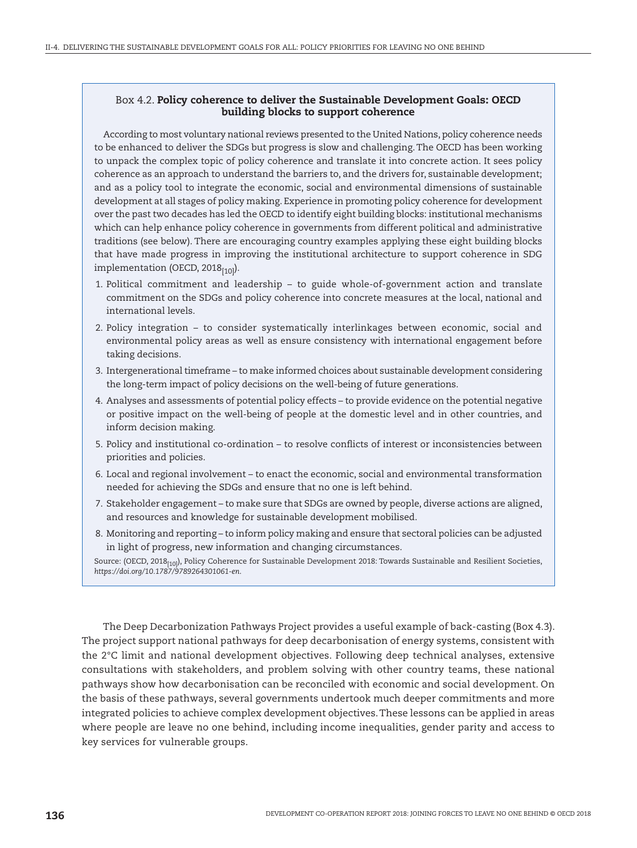#### <span id="page-5-0"></span>Box 4.2. Policy coherence to deliver the Sustainable Development Goals: OECD building blocks to support coherence

According to most voluntary national reviews presented to the United Nations, policy coherence needs to be enhanced to deliver the SDGs but progress is slow and challenging. The OECD has been working to unpack the complex topic of policy coherence and translate it into concrete action. It sees policy coherence as an approach to understand the barriers to, and the drivers for, sustainable development; and as a policy tool to integrate the economic, social and environmental dimensions of sustainable development at all stages of policy making. Experience in promoting policy coherence for development over the past two decades has led the OECD to identify eight building blocks: institutional mechanisms which can help enhance policy coherence in governments from different political and administrative traditions (see below). There are encouraging country examples applying these eight building blocks that have made progress in improving the institutional architecture to support coherence in SDG implementation (OECD, 2018 $_{[10]}$ ).

- 1. Political commitment and leadership to guide whole-of-government action and translate commitment on the SDGs and policy coherence into concrete measures at the local, national and international levels.
- 2. Policy integration to consider systematically interlinkages between economic, social and environmental policy areas as well as ensure consistency with international engagement before taking decisions.
- 3. Intergenerational timeframe to make informed choices about sustainable development considering the long-term impact of policy decisions on the well-being of future generations.
- 4. Analyses and assessments of potential policy effects to provide evidence on the potential negative or positive impact on the well-being of people at the domestic level and in other countries, and inform decision making.
- 5. Policy and institutional co-ordination to resolve conflicts of interest or inconsistencies between priorities and policies.
- 6. Local and regional involvement to enact the economic, social and environmental transformation needed for achieving the SDGs and ensure that no one is left behind.
- 7. Stakeholder engagement to make sure that SDGs are owned by people, diverse actions are aligned, and resources and knowledge for sustainable development mobilised.
- 8. Monitoring and reporting to inform policy making and ensure that sectoral policies can be adjusted in light of progress, new information and changing circumstances.

Source: (OECD, 2018<sub>[10]</sub>), Policy Coherence for Sustainable Development 2018: Towards Sustainable and Resilient Societies, *<https://doi.org/10.1787/9789264301061-en>*.

The Deep Decarbonization Pathways Project provides a useful example of back-casting ([Box 4.3\)](#page-6-0). The project support national pathways for deep decarbonisation of energy systems, consistent with the 2°C limit and national development objectives. Following deep technical analyses, extensive consultations with stakeholders, and problem solving with other country teams, these national pathways show how decarbonisation can be reconciled with economic and social development. On the basis of these pathways, several governments undertook much deeper commitments and more integrated policies to achieve complex development objectives. These lessons can be applied in areas where people are leave no one behind, including income inequalities, gender parity and access to key services for vulnerable groups.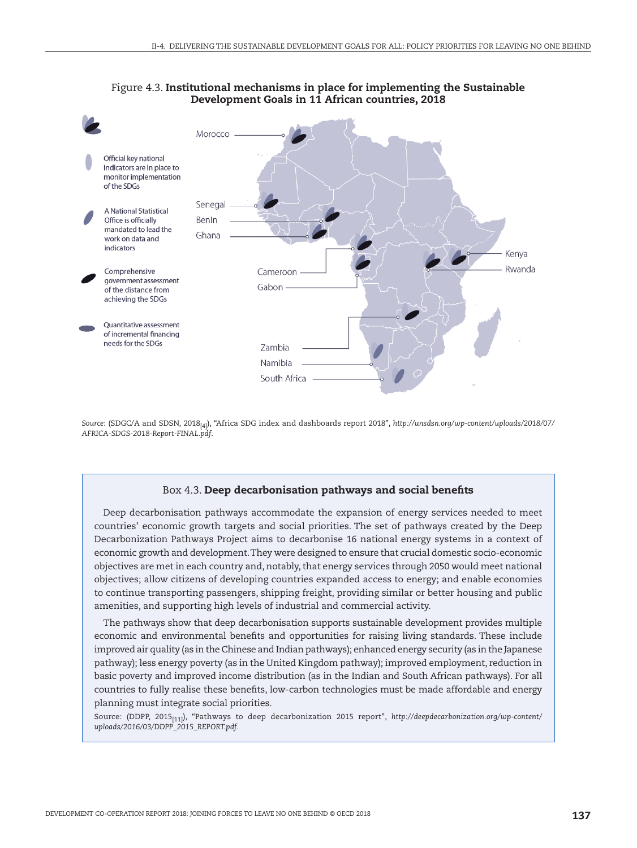

#### Figure 4.3. Institutional mechanisms in place for implementing the Sustainable Development Goals in 11 African countries, 2018

*Source*: (SDGC/A and SDSN, 2018[4]), "Africa SDG index and dashboards report 2018", *[http://unsdsn.org/wp-content/uploads/2018/07/](http://unsdsn.org/wp-content/uploads/2018/07/AFRICA-SDGS-2018-Report-FINAL.pdf) [AFRICA-SDGS-2018-Report-FINAL.pdf](http://unsdsn.org/wp-content/uploads/2018/07/AFRICA-SDGS-2018-Report-FINAL.pdf)*.

#### <span id="page-6-0"></span>Box 4.3. Deep decarbonisation pathways and social benefits

Deep decarbonisation pathways accommodate the expansion of energy services needed to meet countries' economic growth targets and social priorities. The set of pathways created by the Deep Decarbonization Pathways Project aims to decarbonise 16 national energy systems in a context of economic growth and development. They were designed to ensure that crucial domestic socio-economic objectives are met in each country and, notably, that energy services through 2050 would meet national objectives; allow citizens of developing countries expanded access to energy; and enable economies to continue transporting passengers, shipping freight, providing similar or better housing and public amenities, and supporting high levels of industrial and commercial activity.

The pathways show that deep decarbonisation supports sustainable development provides multiple economic and environmental benefits and opportunities for raising living standards. These include improved air quality (as in the Chinese and Indian pathways); enhanced energy security (as in the Japanese pathway); less energy poverty (as in the United Kingdom pathway); improved employment, reduction in basic poverty and improved income distribution (as in the Indian and South African pathways). For all countries to fully realise these benefits, low-carbon technologies must be made affordable and energy planning must integrate social priorities.

Source: (DDPP, 2015[11]), "Pathways to deep decarbonization 2015 report", *[http://deepdecarbonization.org/wp-content/](http://deepdecarbonization.org/wp-content/uploads/2016/03/DDPP_2015_REPORT.pdf) [uploads/2016/03/DDPP\\_2015\\_REPORT.pdf](http://deepdecarbonization.org/wp-content/uploads/2016/03/DDPP_2015_REPORT.pdf)*.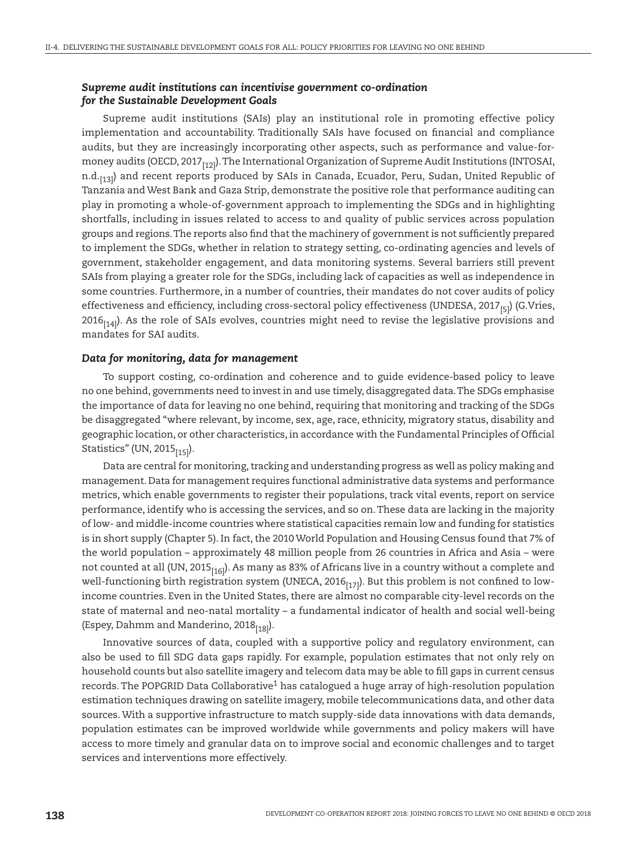#### *Supreme audit institutions can incentivise government co-ordination for the Sustainable Development Goals*

Supreme audit institutions (SAIs) play an institutional role in promoting effective policy implementation and accountability. Traditionally SAIs have focused on financial and compliance audits, but they are increasingly incorporating other aspects, such as performance and value-formoney audits (OECD, 2017<sub>[12]</sub>). The International Organization of Supreme Audit Institutions (INTOSAI, n.d.<sub>[13]</sub>) and recent reports produced by SAIs in Canada, Ecuador, Peru, Sudan, United Republic of Tanzania and West Bank and Gaza Strip, demonstrate the positive role that performance auditing can play in promoting a whole-of-government approach to implementing the SDGs and in highlighting shortfalls, including in issues related to access to and quality of public services across population groups and regions. The reports also find that the machinery of government is not sufficiently prepared to implement the SDGs, whether in relation to strategy setting, co-ordinating agencies and levels of government, stakeholder engagement, and data monitoring systems. Several barriers still prevent SAIs from playing a greater role for the SDGs, including lack of capacities as well as independence in some countries. Furthermore, in a number of countries, their mandates do not cover audits of policy effectiveness and efficiency, including cross-sectoral policy effectiveness (UNDESA, 2017 $_{[5]}$ ) (G.Vries,  $2016_{[14]}$ ). As the role of SAIs evolves, countries might need to revise the legislative provisions and mandates for SAI audits.

#### *Data for monitoring, data for management*

To support costing, co-ordination and coherence and to guide evidence-based policy to leave no one behind, governments need to invest in and use timely, disaggregated data. The SDGs emphasise the importance of data for leaving no one behind, requiring that monitoring and tracking of the SDGs be disaggregated "where relevant, by income, sex, age, race, ethnicity, migratory status, disability and geographic location, or other characteristics, in accordance with the Fundamental Principles of Official Statistics" (UN, 2015 $_{[15]}$ ).

Data are central for monitoring, tracking and understanding progress as well as policy making and management. Data for management requires functional administrative data systems and performance metrics, which enable governments to register their populations, track vital events, report on service performance, identify who is accessing the services, and so on. These data are lacking in the majority of low- and middle-income countries where statistical capacities remain low and funding for statistics is in short supply (Chapter 5). In fact, the 2010 World Population and Housing Census found that 7% of the world population – approximately 48 million people from 26 countries in Africa and Asia – were not counted at all (UN, 2015 $_{[16]}$ ). As many as 83% of Africans live in a country without a complete and well-functioning birth registration system (UNECA, 2016 $_{[17]}$ ). But this problem is not confined to lowincome countries. Even in the United States, there are almost no comparable city-level records on the state of maternal and neo-natal mortality – a fundamental indicator of health and social well-being (Espey, Dahmm and Manderino,  $2018_{[18]}$ ).

Innovative sources of data, coupled with a supportive policy and regulatory environment, can also be used to fill SDG data gaps rapidly. For example, population estimates that not only rely on household counts but also satellite imagery and telecom data may be able to fill gaps in current census records. The POPGRID Data Collaborative<sup>1</sup> has catalogued a huge array of high-resolution population estimation techniques drawing on satellite imagery, mobile telecommunications data, and other data sources. With a supportive infrastructure to match supply-side data innovations with data demands, population estimates can be improved worldwide while governments and policy makers will have access to more timely and granular data on to improve social and economic challenges and to target services and interventions more effectively.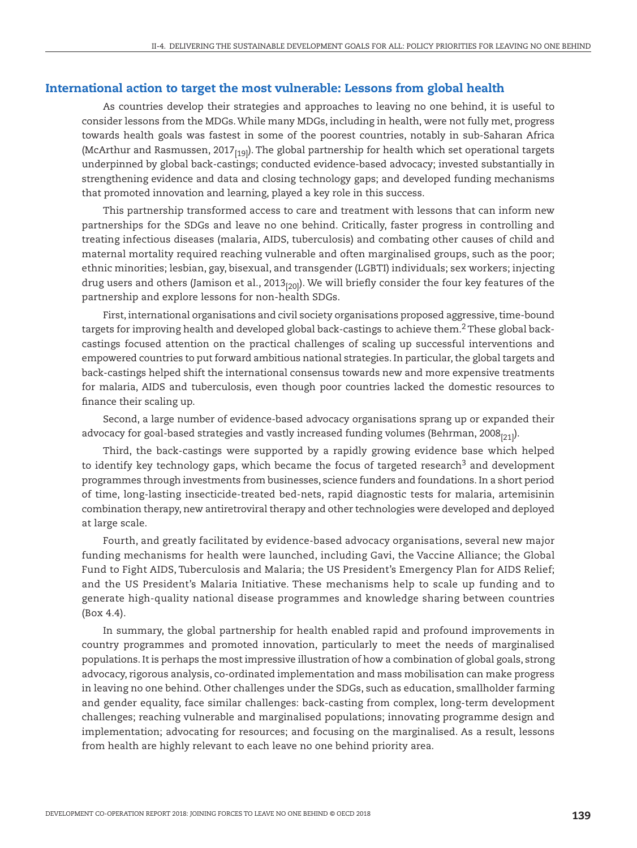#### International action to target the most vulnerable: Lessons from global health

As countries develop their strategies and approaches to leaving no one behind, it is useful to consider lessons from the MDGs. While many MDGs, including in health, were not fully met, progress towards health goals was fastest in some of the poorest countries, notably in sub-Saharan Africa (McArthur and Rasmussen, 2017 $_{[19]}$ ). The global partnership for health which set operational targets underpinned by global back-castings; conducted evidence-based advocacy; invested substantially in strengthening evidence and data and closing technology gaps; and developed funding mechanisms that promoted innovation and learning, played a key role in this success.

This partnership transformed access to care and treatment with lessons that can inform new partnerships for the SDGs and leave no one behind. Critically, faster progress in controlling and treating infectious diseases (malaria, AIDS, tuberculosis) and combating other causes of child and maternal mortality required reaching vulnerable and often marginalised groups, such as the poor; ethnic minorities; lesbian, gay, bisexual, and transgender (LGBTI) individuals; sex workers; injecting drug users and others (Jamison et al., 2013 $_{[20]}$ ). We will briefly consider the four key features of the partnership and explore lessons for non-health SDGs.

First, international organisations and civil society organisations proposed aggressive, time-bound targets for improving health and developed global back-castings to achieve them.[2](#page-9-1) These global backcastings focused attention on the practical challenges of scaling up successful interventions and empowered countries to put forward ambitious national strategies. In particular, the global targets and back-castings helped shift the international consensus towards new and more expensive treatments for malaria, AIDS and tuberculosis, even though poor countries lacked the domestic resources to finance their scaling up.

Second, a large number of evidence-based advocacy organisations sprang up or expanded their advocacy for goal-based strategies and vastly increased funding volumes (Behrman, 2008 $_{[21]}$ ).

Third, the back-castings were supported by a rapidly growing evidence base which helped to identify key technology gaps, which became the focus of targeted research<sup>[3](#page-9-2)</sup> and development programmes through investments from businesses, science funders and foundations. In a short period of time, long-lasting insecticide-treated bed-nets, rapid diagnostic tests for malaria, artemisinin combination therapy, new antiretroviral therapy and other technologies were developed and deployed at large scale.

Fourth, and greatly facilitated by evidence-based advocacy organisations, several new major funding mechanisms for health were launched, including Gavi, the Vaccine Alliance; the Global Fund to Fight AIDS, Tuberculosis and Malaria; the US President's Emergency Plan for AIDS Relief; and the US President's Malaria Initiative. These mechanisms help to scale up funding and to generate high-quality national disease programmes and knowledge sharing between countries [\(Box 4.4](#page-9-3)).

In summary, the global partnership for health enabled rapid and profound improvements in country programmes and promoted innovation, particularly to meet the needs of marginalised populations. It is perhaps the most impressive illustration of how a combination of global goals, strong advocacy, rigorous analysis, co-ordinated implementation and mass mobilisation can make progress in leaving no one behind. Other challenges under the SDGs, such as education, smallholder farming and gender equality, face similar challenges: back-casting from complex, long-term development challenges; reaching vulnerable and marginalised populations; innovating programme design and implementation; advocating for resources; and focusing on the marginalised. As a result, lessons from health are highly relevant to each leave no one behind priority area.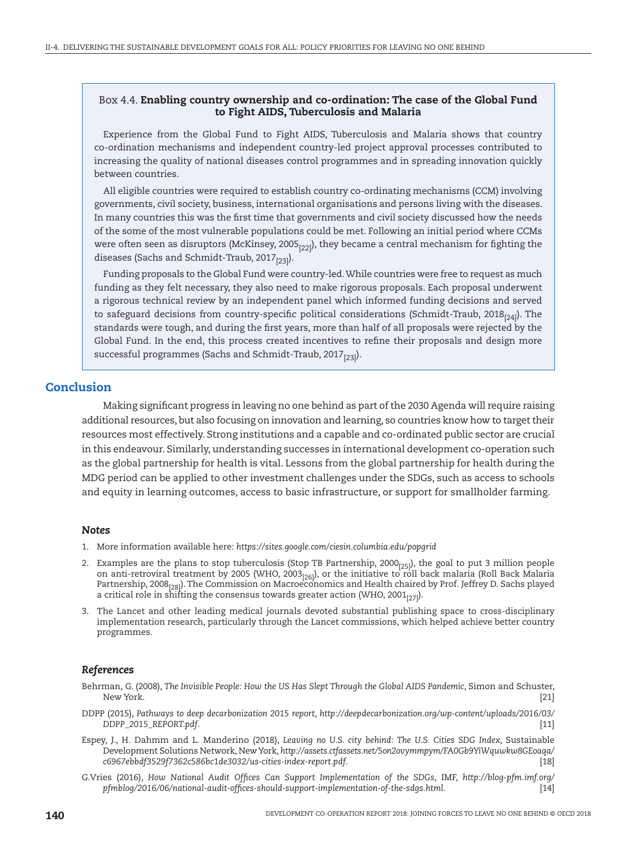#### <span id="page-9-3"></span>Box 4.4. Enabling country ownership and co-ordination: The case of the Global Fund to Fight AIDS, Tuberculosis and Malaria

Experience from the Global Fund to Fight AIDS, Tuberculosis and Malaria shows that country co-ordination mechanisms and independent country-led project approval processes contributed to increasing the quality of national diseases control programmes and in spreading innovation quickly between countries.

All eligible countries were required to establish country co-ordinating mechanisms (CCM) involving governments, civil society, business, international organisations and persons living with the diseases. In many countries this was the first time that governments and civil society discussed how the needs of the some of the most vulnerable populations could be met. Following an initial period where CCMs were often seen as disruptors (McKinsey, 2005 $_{[22]}$ ), they became a central mechanism for fighting the diseases (Sachs and Schmidt-Traub, 2017 $_{[23]}$ ).

Funding proposals to the Global Fund were country-led. While countries were free to request as much funding as they felt necessary, they also need to make rigorous proposals. Each proposal underwent a rigorous technical review by an independent panel which informed funding decisions and served to safeguard decisions from country-specific political considerations (Schmidt-Traub, 2018 $_{[24]}$ ). The standards were tough, and during the first years, more than half of all proposals were rejected by the Global Fund. In the end, this process created incentives to refine their proposals and design more successful programmes (Sachs and Schmidt-Traub, 2017 $_{[23]}$ ).

#### **Conclusion**

Making significant progress in leaving no one behind as part of the 2030 Agenda will require raising additional resources, but also focusing on innovation and learning, so countries know how to target their resources most effectively. Strong institutions and a capable and co-ordinated public sector are crucial in this endeavour. Similarly, understanding successes in international development co-operation such as the global partnership for health is vital. Lessons from the global partnership for health during the MDG period can be applied to other investment challenges under the SDGs, such as access to schools and equity in learning outcomes, access to basic infrastructure, or support for smallholder farming.

#### *Notes*

- <span id="page-9-0"></span>1. More information available here: *<https://sites.google.com/ciesin.columbia.edu/popgrid>*
- <span id="page-9-1"></span>2. Examples are the plans to stop tuberculosis (Stop TB Partnership,  $2000_{[25]}$ ), the goal to put 3 million people on anti-retroviral treatment by 2005 (WHO, 2003 $_{[26]}$ ), or the initiative to roll back malaria (Roll Back Malaria Partnership, 2008<sub>[28]</sub>). The Commission on Macroeconomics and Health chaired by Prof. Jeffrey D. Sachs played a critical role in shifting the consensus towards greater action (WHO, 2001 $_{[27]}$ ).
- <span id="page-9-2"></span>3. The Lancet and other leading medical journals devoted substantial publishing space to cross-disciplinary implementation research, particularly through the Lancet commissions, which helped achieve better country programmes.

#### *References*

- Behrman, G. (2008), *The Invisible People: How the US Has Slept Through the Global AIDS Pandemic*, Simon and Schuster, New York. [21]
- DDPP (2015), *Pathways to deep decarbonization 2015 report*, *[http://deepdecarbonization.org/wp-content/uploads/2016/03/](http://deepdecarbonization.org/wp-content/uploads/2016/03/DDPP_2015_REPORT.pdf) [DDPP\\_2015\\_REPORT.pdf](http://deepdecarbonization.org/wp-content/uploads/2016/03/DDPP_2015_REPORT.pdf)*. [11]
- Espey, J., H. Dahmm and L. Manderino (2018), *Leaving no U.S. city behind: The U.S. Cities SDG Index*, Sustainable Development Solutions Network, New York, *[http://assets.ctfassets.net/5on2ovymmpym/FA0Gb9YiWquwkw8GEoaqa/](http://assets.ctfassets.net/5on2ovymmpym/FA0Gb9YiWquwkw8GEoaqa/c6967ebbdf3529f7362c586bc1de3032/us-cities-index-report.pdf) [c6967ebbdf3529f7362c586bc1de3032/us-cities-index-report.pdf](http://assets.ctfassets.net/5on2ovymmpym/FA0Gb9YiWquwkw8GEoaqa/c6967ebbdf3529f7362c586bc1de3032/us-cities-index-report.pdf)*. [18]
- G.Vries (2016), *How National Audit Offices Can Support Implementation of the SDGs*, IMF, *[http://blog-pfm.imf.org/](http://blog-pfm.imf.org/pfmblog/2016/06/national-audit-offices-should-support-implementation-of-the-sdgs.html) [pfmblog/2016/06/national-audit-offices-should-support-implementation-of-the-sdgs.html](http://blog-pfm.imf.org/pfmblog/2016/06/national-audit-offices-should-support-implementation-of-the-sdgs.html)*. [14]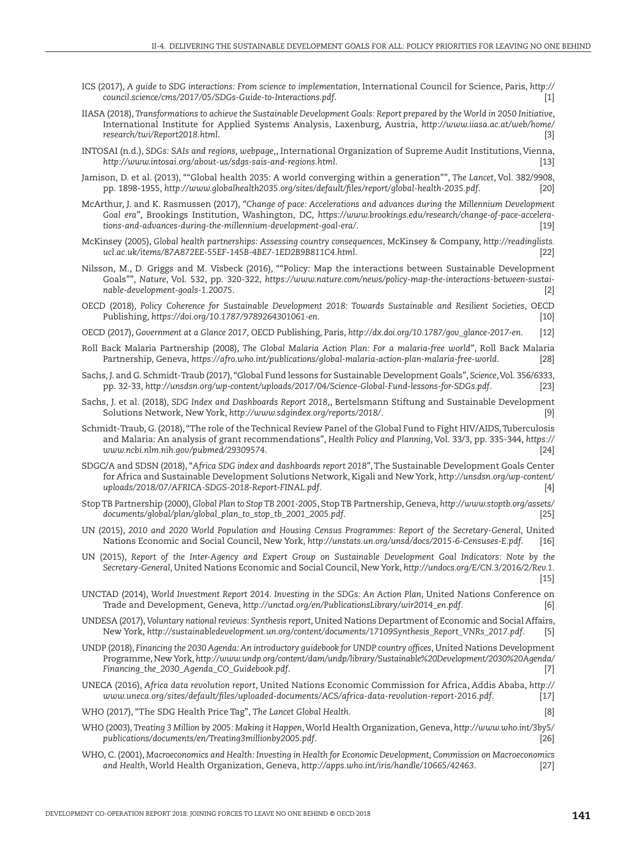- ICS (2017), *A guide to SDG interactions: From science to implementation*, International Council for Science, Paris, *[http://](http://council.science/cms/2017/05/SDGs-Guide-to-Interactions.pdf) [council.science/cms/2017/05/SDGs-Guide-to-Interactions.pdf](http://council.science/cms/2017/05/SDGs-Guide-to-Interactions.pdf)*. [1]
- IIASA (2018), *Transformations to achieve the Sustainable Development Goals: Report prepared by the World in 2050 Initiative*, International Institute for Applied Systems Analysis, Laxenburg, Austria, *[http://www.iiasa.ac.at/web/home/](http://www.iiasa.ac.at/web/home/research/twi/Report2018.html) [research/twi/Report2018.html](http://www.iiasa.ac.at/web/home/research/twi/Report2018.html)*. [3]
- INTOSAI (n.d.), *SDGs: SAIs and regions, webpage*,, International Organization of Supreme Audit Institutions, Vienna, *<http://www.intosai.org/about-us/sdgs-sais-and-regions.html>*. [13]
- Jamison, D. et al. (2013), ""Global health 2035: A world converging within a generation"", *The Lancet*, Vol. 382/9908, pp. 1898-1955, *<http://www.globalhealth2035.org/sites/default/files/report/global-health-2035.pdf>*. [20]
- McArthur, J. and K. Rasmussen (2017), *"Change of pace: Accelerations and advances during the Millennium Development Goal era"*, Brookings Institution, Washington, DC, *[https://www.brookings.edu/research/change-of-pace-accelera](https://www.brookings.edu/research/change-of-pace-accelerations-and-advances-during-the-millennium-development-goal-era/)[tions-and-advances-during-the-millennium-development-goal-era/](https://www.brookings.edu/research/change-of-pace-accelerations-and-advances-during-the-millennium-development-goal-era/)*. [19]
- McKinsey (2005), *Global health partnerships: Assessing country consequences*, McKinsey & Company, *[http://readinglists.](http://readinglists.ucl.ac.uk/items/87A872EE-55EF-145B-4BE7-1ED2B9B811C4.html) [ucl.ac.uk/items/87A872EE-55EF-145B-4BE7-1ED2B9B811C4.html](http://readinglists.ucl.ac.uk/items/87A872EE-55EF-145B-4BE7-1ED2B9B811C4.html)*. [22]
- Nilsson, M., D. Griggs and M. Visbeck (2016), ""Policy: Map the interactions between Sustainable Development Goals"", *Nature*, Vol. 532, pp. 320-322, *[https://www.nature.com/news/policy-map-the-interactions-between-sustai](https://www.nature.com/news/policy-map-the-interactions-between-sustainable-development-goals-1.20075)[nable-development-goals-1.20075](https://www.nature.com/news/policy-map-the-interactions-between-sustainable-development-goals-1.20075)*. [2]
- OECD (2018), *Policy Coherence for Sustainable Development 2018: Towards Sustainable and Resilient Societies*, OECD Publishing, *<https://doi.org/10.1787/9789264301061-en>*. [10]
- OECD (2017), *Government at a Glance 2017*, OECD Publishing, Paris, *[http://dx.doi.org/10.1787/gov\\_glance-2017-en](http://dx.doi.org/10.1787/gov_glance-2017-en)*. [12]
- Roll Back Malaria Partnership (2008), *The Global Malaria Action Plan: For a malaria-free world"*, Roll Back Malaria Partnership, Geneva, *<https://afro.who.int/publications/global-malaria-action-plan-malaria-free-world>*. [28]
- Sachs, J. and G. Schmidt-Traub (2017), "Global Fund lessons for Sustainable Development Goals", *Science*, Vol. 356/6333, pp. 32-33, *<http://unsdsn.org/wp-content/uploads/2017/04/Science-Global-Fund-lessons-for-SDGs.pdf>*. [23]
- Sachs, J. et al. (2018), *SDG Index and Dashboards Report 2018*,, Bertelsmann Stiftung and Sustainable Development Solutions Network, New York, *<http://www.sdgindex.org/reports/2018/>*. [9]
- Schmidt-Traub, G. (2018), "The role of the Technical Review Panel of the Global Fund to Fight HIV/AIDS, Tuberculosis and Malaria: An analysis of grant recommendations", *Health Policy and Planning*, Vol. 33/3, pp. 335-344, *[https://](https://www.ncbi.nlm.nih.gov/pubmed/29309574) [www.ncbi.nlm.nih.gov/pubmed/29309574](https://www.ncbi.nlm.nih.gov/pubmed/29309574)*. [24]
- SDGC/A and SDSN (2018), "*Africa SDG index and dashboards report 2018"*, The Sustainable Development Goals Center for Africa and Sustainable Development Solutions Network, Kigali and New York, *[http://unsdsn.org/wp-content/](http://unsdsn.org/wp-content/uploads/2018/07/AFRICA-SDGS-2018-Report-FINAL.pdf) [uploads/2018/07/AFRICA-SDGS-2018-Report-FINAL.pdf](http://unsdsn.org/wp-content/uploads/2018/07/AFRICA-SDGS-2018-Report-FINAL.pdf)*. [4]
- Stop TB Partnership (2000), *Global Plan to Stop TB 2001-2005*, Stop TB Partnership, Geneva, *[http://www.stoptb.org/assets/](http://www.stoptb.org/assets/documents/global/plan/global_plan_to_stop_tb_2001_2005.pdf) [documents/global/plan/global\\_plan\\_to\\_stop\\_tb\\_2001\\_2005.pdf](http://www.stoptb.org/assets/documents/global/plan/global_plan_to_stop_tb_2001_2005.pdf)*. [25]
- UN (2015), *2010 and 2020 World Population and Housing Census Programmes: Report of the Secretary-General*, United Nations Economic and Social Council, New York, *<http://unstats.un.org/unsd/docs/2015-6-Censuses-E.pdf>*. [16]
- UN (2015), *Report of the Inter-Agency and Expert Group on Sustainable Development Goal Indicators: Note by the Secretary-General*, United Nations Economic and Social Council, New York, *<http://undocs.org/E/CN.3/2016/2/Rev.1>*. [15]
- UNCTAD (2014), *World Investment Report 2014. Investing in the SDGs: An Action Plan*, United Nations Conference on Trade and Development, Geneva, *[http://unctad.org/en/PublicationsLibrary/wir2014\\_en.pdf](http://unctad.org/en/PublicationsLibrary/wir2014_en.pdf)*. [6]
- UNDESA (2017), *Voluntary national reviews: Synthesis report*, United Nations Department of Economic and Social Affairs, New York, *[http://sustainabledevelopment.un.org/content/documents/17109Synthesis\\_Report\\_VNRs\\_2017.pdf](http://sustainabledevelopment.un.org/content/documents/17109Synthesis_Report_VNRs_2017.pdf)*. [5]
- UNDP (2018), *Financing the 2030 Agenda: An introductory guidebook for UNDP country offices*, United Nations Development Programme, New York, *[http://www.undp.org/content/dam/undp/library/Sustainable%20Development/2030%20Agenda/](http://www.undp.org/content/dam/undp/library/Sustainable%20Development/2030%20Agenda/Financing_the_2030_Agenda_CO_Guidebook.pdf) [Financing\\_the\\_2030\\_Agenda\\_CO\\_Guidebook.pdf](http://www.undp.org/content/dam/undp/library/Sustainable%20Development/2030%20Agenda/Financing_the_2030_Agenda_CO_Guidebook.pdf)*. [7]

UNECA (2016), *Africa data revolution report*, United Nations Economic Commission for Africa, Addis Ababa, *[http://](http://www.uneca.org/sites/default/files/uploaded-documents/ACS/africa-data-revolution-report-2016.pdf) [www.uneca.org/sites/default/files/uploaded-documents/ACS/africa-data-revolution-report-2016.pdf](http://www.uneca.org/sites/default/files/uploaded-documents/ACS/africa-data-revolution-report-2016.pdf)*. [17]

WHO (2017), "The SDG Health Price Tag", *The Lancet Global Health*. [8]

- WHO (2003), *Treating 3 Million by 2005: Making it Happen*, World Health Organization, Geneva, *[http://www.who.int/3by5/](http://www.who.int/3by5/publications/documents/en/Treating3millionby2005.pdf) [publications/documents/en/Treating3millionby2005.pdf](http://www.who.int/3by5/publications/documents/en/Treating3millionby2005.pdf)*. [26]
- WHO, C. (2001), *Macroeconomics and Health: Investing in Health for Economic Development, Commission on Macroeconomics and Health*, World Health Organization, Geneva, *<http://apps.who.int/iris/handle/10665/42463>*. [27]